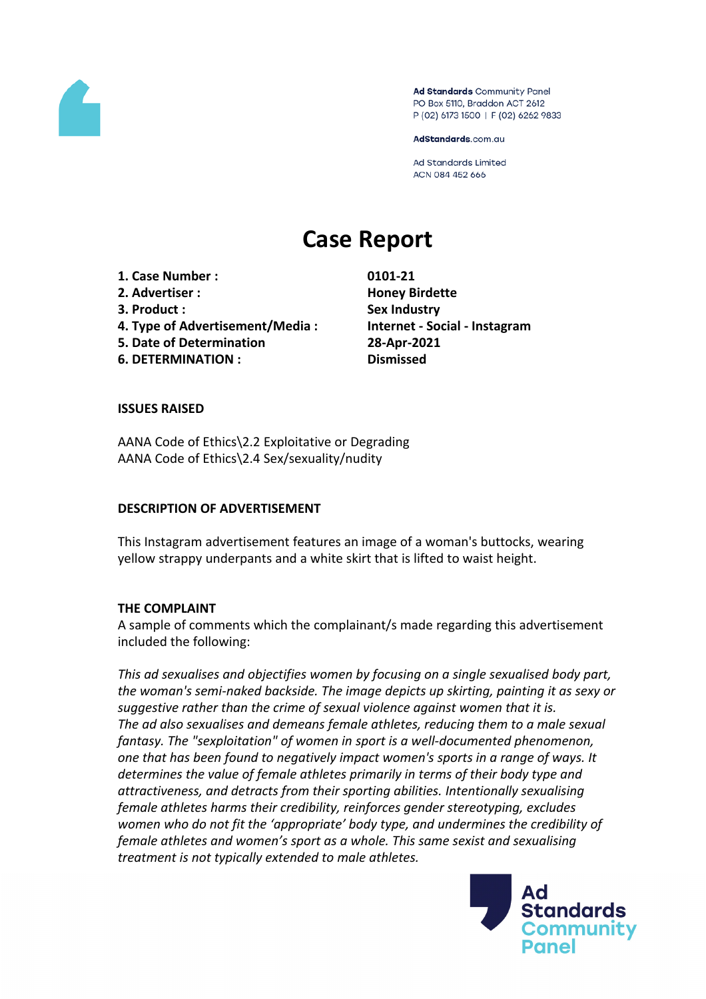

Ad Standards Community Panel PO Box 5110, Braddon ACT 2612 P (02) 6173 1500 | F (02) 6262 9833

AdStandards.com.au

**Ad Standards Limited** ACN 084 452 666

# **Case Report**

**1. Case Number : 0101-21 2. Advertiser : Honey Birdette 3. Product : Sex Industry 4. Type of Advertisement/Media : Internet - Social - Instagram**

- **5. Date of Determination 28-Apr-2021**
- **6. DETERMINATION : Dismissed**

# **ISSUES RAISED**

AANA Code of Ethics\2.2 Exploitative or Degrading AANA Code of Ethics\2.4 Sex/sexuality/nudity

#### **DESCRIPTION OF ADVERTISEMENT**

This Instagram advertisement features an image of a woman's buttocks, wearing yellow strappy underpants and a white skirt that is lifted to waist height.

# **THE COMPLAINT**

A sample of comments which the complainant/s made regarding this advertisement included the following:

*This ad sexualises and objectifies women by focusing on a single sexualised body part, the woman's semi-naked backside. The image depicts up skirting, painting it as sexy or suggestive rather than the crime of sexual violence against women that it is. The ad also sexualises and demeans female athletes, reducing them to a male sexual fantasy. The "sexploitation" of women in sport is a well-documented phenomenon, one that has been found to negatively impact women's sports in a range of ways. It determines the value of female athletes primarily in terms of their body type and attractiveness, and detracts from their sporting abilities. Intentionally sexualising female athletes harms their credibility, reinforces gender stereotyping, excludes women who do not fit the 'appropriate' body type, and undermines the credibility of female athletes and women's sport as a whole. This same sexist and sexualising treatment is not typically extended to male athletes.*

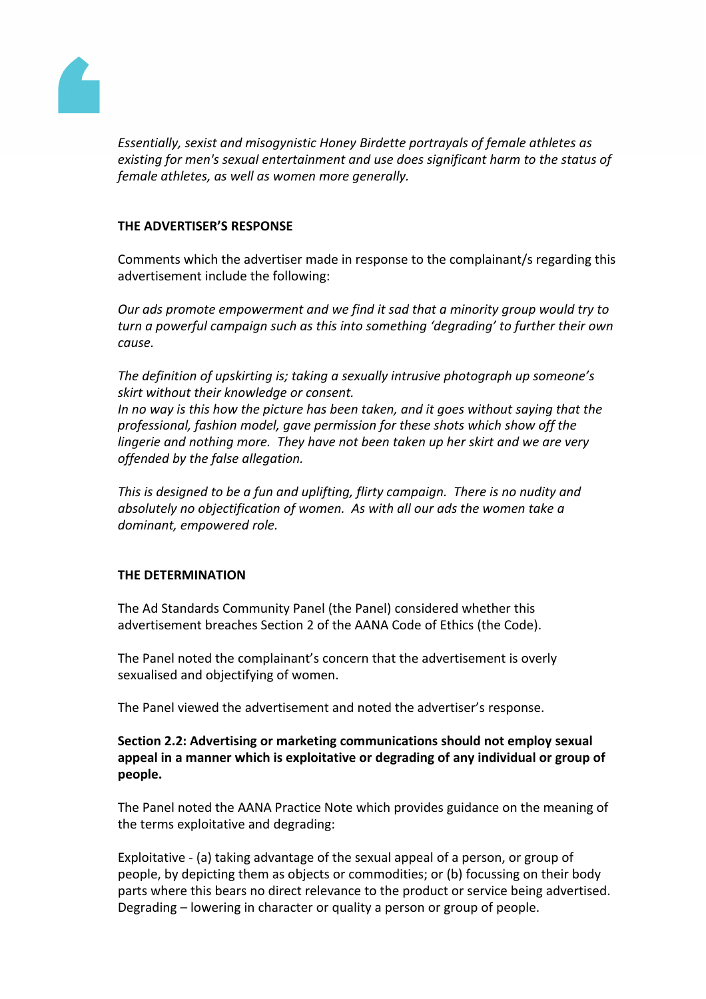

*Essentially, sexist and misogynistic Honey Birdette portrayals of female athletes as existing for men's sexual entertainment and use does significant harm to the status of female athletes, as well as women more generally.*

# **THE ADVERTISER'S RESPONSE**

Comments which the advertiser made in response to the complainant/s regarding this advertisement include the following:

*Our ads promote empowerment and we find it sad that a minority group would try to turn a powerful campaign such as this into something 'degrading' to further their own cause.*

*The definition of upskirting is; taking a sexually intrusive photograph up someone's skirt without their knowledge or consent.*

*In no way is this how the picture has been taken, and it goes without saying that the professional, fashion model, gave permission for these shots which show off the lingerie and nothing more. They have not been taken up her skirt and we are very offended by the false allegation.*

*This is designed to be a fun and uplifting, flirty campaign. There is no nudity and absolutely no objectification of women. As with all our ads the women take a dominant, empowered role.*

# **THE DETERMINATION**

The Ad Standards Community Panel (the Panel) considered whether this advertisement breaches Section 2 of the AANA Code of Ethics (the Code).

The Panel noted the complainant's concern that the advertisement is overly sexualised and objectifying of women.

The Panel viewed the advertisement and noted the advertiser's response.

# **Section 2.2: Advertising or marketing communications should not employ sexual appeal in a manner which is exploitative or degrading of any individual or group of people.**

The Panel noted the AANA Practice Note which provides guidance on the meaning of the terms exploitative and degrading:

Exploitative - (a) taking advantage of the sexual appeal of a person, or group of people, by depicting them as objects or commodities; or (b) focussing on their body parts where this bears no direct relevance to the product or service being advertised. Degrading – lowering in character or quality a person or group of people.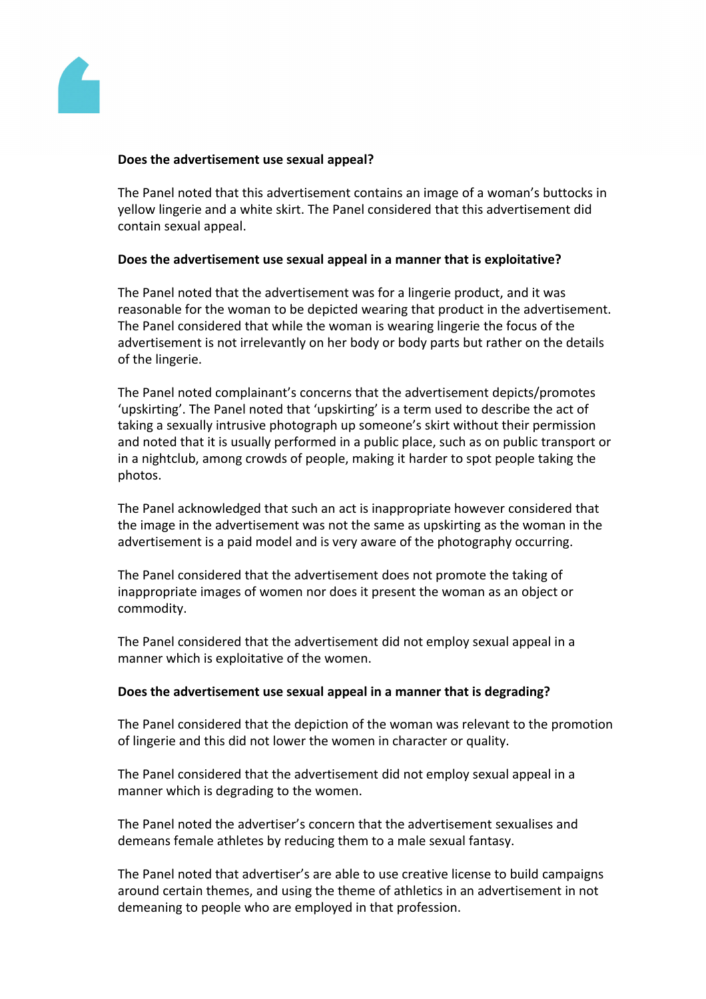

## **Does the advertisement use sexual appeal?**

The Panel noted that this advertisement contains an image of a woman's buttocks in yellow lingerie and a white skirt. The Panel considered that this advertisement did contain sexual appeal.

### **Does the advertisement use sexual appeal in a manner that is exploitative?**

The Panel noted that the advertisement was for a lingerie product, and it was reasonable for the woman to be depicted wearing that product in the advertisement. The Panel considered that while the woman is wearing lingerie the focus of the advertisement is not irrelevantly on her body or body parts but rather on the details of the lingerie.

The Panel noted complainant's concerns that the advertisement depicts/promotes 'upskirting'. The Panel noted that 'upskirting' is a term used to describe the act of taking a sexually intrusive photograph up someone's skirt without their permission and noted that it is usually performed in a public place, such as on public transport or in a nightclub, among crowds of people, making it harder to spot people taking the photos.

The Panel acknowledged that such an act is inappropriate however considered that the image in the advertisement was not the same as upskirting as the woman in the advertisement is a paid model and is very aware of the photography occurring.

The Panel considered that the advertisement does not promote the taking of inappropriate images of women nor does it present the woman as an object or commodity.

The Panel considered that the advertisement did not employ sexual appeal in a manner which is exploitative of the women.

#### **Does the advertisement use sexual appeal in a manner that is degrading?**

The Panel considered that the depiction of the woman was relevant to the promotion of lingerie and this did not lower the women in character or quality.

The Panel considered that the advertisement did not employ sexual appeal in a manner which is degrading to the women.

The Panel noted the advertiser's concern that the advertisement sexualises and demeans female athletes by reducing them to a male sexual fantasy.

The Panel noted that advertiser's are able to use creative license to build campaigns around certain themes, and using the theme of athletics in an advertisement in not demeaning to people who are employed in that profession.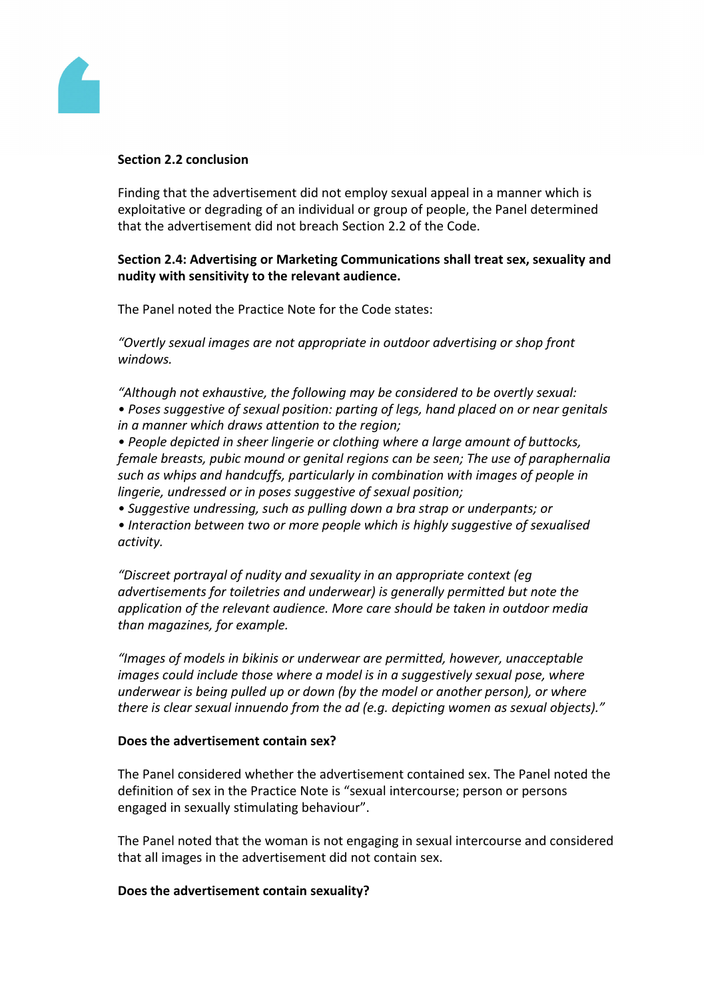

## **Section 2.2 conclusion**

Finding that the advertisement did not employ sexual appeal in a manner which is exploitative or degrading of an individual or group of people, the Panel determined that the advertisement did not breach Section 2.2 of the Code.

# **Section 2.4: Advertising or Marketing Communications shall treat sex, sexuality and nudity with sensitivity to the relevant audience.**

The Panel noted the Practice Note for the Code states:

*"Overtly sexual images are not appropriate in outdoor advertising or shop front windows.*

*"Although not exhaustive, the following may be considered to be overtly sexual:*

*• Poses suggestive of sexual position: parting of legs, hand placed on or near genitals in a manner which draws attention to the region;*

*• People depicted in sheer lingerie or clothing where a large amount of buttocks, female breasts, pubic mound or genital regions can be seen; The use of paraphernalia such as whips and handcuffs, particularly in combination with images of people in lingerie, undressed or in poses suggestive of sexual position;*

*• Suggestive undressing, such as pulling down a bra strap or underpants; or*

*• Interaction between two or more people which is highly suggestive of sexualised activity.*

*"Discreet portrayal of nudity and sexuality in an appropriate context (eg advertisements for toiletries and underwear) is generally permitted but note the application of the relevant audience. More care should be taken in outdoor media than magazines, for example.*

*"Images of models in bikinis or underwear are permitted, however, unacceptable images could include those where a model is in a suggestively sexual pose, where underwear is being pulled up or down (by the model or another person), or where there is clear sexual innuendo from the ad (e.g. depicting women as sexual objects)."*

# **Does the advertisement contain sex?**

The Panel considered whether the advertisement contained sex. The Panel noted the definition of sex in the Practice Note is "sexual intercourse; person or persons engaged in sexually stimulating behaviour".

The Panel noted that the woman is not engaging in sexual intercourse and considered that all images in the advertisement did not contain sex.

# **Does the advertisement contain sexuality?**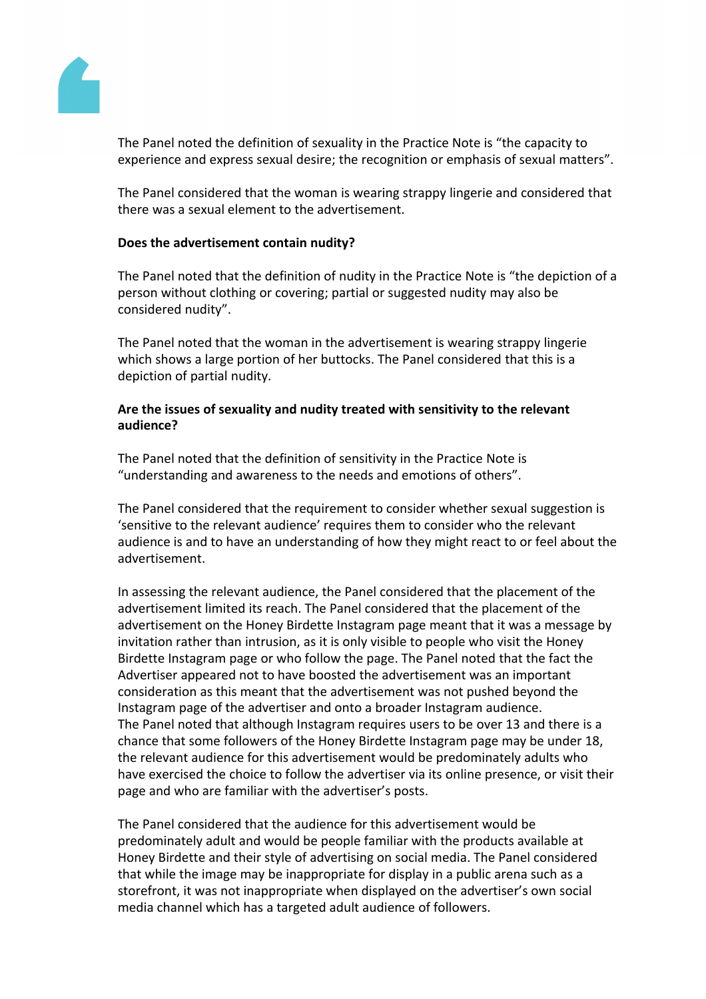

The Panel noted the definition of sexuality in the Practice Note is "the capacity to experience and express sexual desire; the recognition or emphasis of sexual matters".

The Panel considered that the woman is wearing strappy lingerie and considered that there was a sexual element to the advertisement.

# **Does the advertisement contain nudity?**

The Panel noted that the definition of nudity in the Practice Note is "the depiction of a person without clothing or covering; partial or suggested nudity may also be considered nudity".

The Panel noted that the woman in the advertisement is wearing strappy lingerie which shows a large portion of her buttocks. The Panel considered that this is a depiction of partial nudity.

# **Are the issues of sexuality and nudity treated with sensitivity to the relevant audience?**

The Panel noted that the definition of sensitivity in the Practice Note is "understanding and awareness to the needs and emotions of others".

The Panel considered that the requirement to consider whether sexual suggestion is 'sensitive to the relevant audience' requires them to consider who the relevant audience is and to have an understanding of how they might react to or feel about the advertisement.

In assessing the relevant audience, the Panel considered that the placement of the advertisement limited its reach. The Panel considered that the placement of the advertisement on the Honey Birdette Instagram page meant that it was a message by invitation rather than intrusion, as it is only visible to people who visit the Honey Birdette Instagram page or who follow the page. The Panel noted that the fact the Advertiser appeared not to have boosted the advertisement was an important consideration as this meant that the advertisement was not pushed beyond the Instagram page of the advertiser and onto a broader Instagram audience. The Panel noted that although Instagram requires users to be over 13 and there is a chance that some followers of the Honey Birdette Instagram page may be under 18, the relevant audience for this advertisement would be predominately adults who have exercised the choice to follow the advertiser via its online presence, or visit their page and who are familiar with the advertiser's posts.

The Panel considered that the audience for this advertisement would be predominately adult and would be people familiar with the products available at Honey Birdette and their style of advertising on social media. The Panel considered that while the image may be inappropriate for display in a public arena such as a storefront, it was not inappropriate when displayed on the advertiser's own social media channel which has a targeted adult audience of followers.